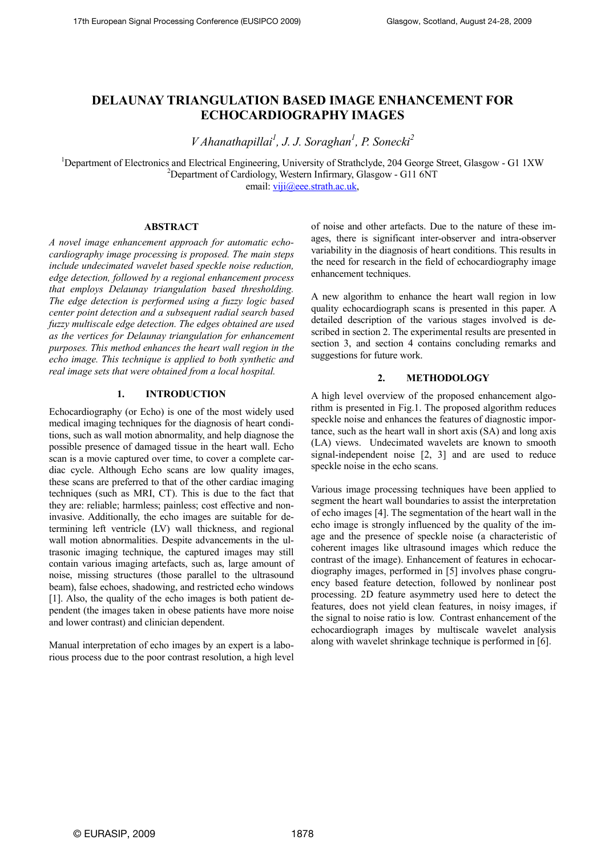# DELAUNAY TRIANGULATION BASED IMAGE ENHANCEMENT FOR ECHOCARDIOGRAPHY IMAGES

 $V$ Ahanathapillai<sup>1</sup>, J. J. Soraghan<sup>1</sup>, P. Sonecki<sup>2</sup>

<sup>1</sup>Department of Electronics and Electrical Engineering, University of Strathclyde, 204 George Street, Glasgow - G1 1XW <sup>2</sup>Department of Cardiology, Western Infirmary, Glasgow - G11 6NT email: viji@eee.strath.ac.uk,

# ABSTRACT

A novel image enhancement approach for automatic echocardiography image processing is proposed. The main steps include undecimated wavelet based speckle noise reduction, edge detection, followed by a regional enhancement process that employs Delaunay triangulation based thresholding. The edge detection is performed using a fuzzy logic based center point detection and a subsequent radial search based fuzzy multiscale edge detection. The edges obtained are used as the vertices for Delaunay triangulation for enhancement purposes. This method enhances the heart wall region in the echo image. This technique is applied to both synthetic and real image sets that were obtained from a local hospital.

# 1. INTRODUCTION

Echocardiography (or Echo) is one of the most widely used medical imaging techniques for the diagnosis of heart conditions, such as wall motion abnormality, and help diagnose the possible presence of damaged tissue in the heart wall. Echo scan is a movie captured over time, to cover a complete cardiac cycle. Although Echo scans are low quality images, these scans are preferred to that of the other cardiac imaging techniques (such as MRI, CT). This is due to the fact that they are: reliable; harmless; painless; cost effective and noninvasive. Additionally, the echo images are suitable for determining left ventricle (LV) wall thickness, and regional wall motion abnormalities. Despite advancements in the ultrasonic imaging technique, the captured images may still contain various imaging artefacts, such as, large amount of noise, missing structures (those parallel to the ultrasound beam), false echoes, shadowing, and restricted echo windows [1]. Also, the quality of the echo images is both patient dependent (the images taken in obese patients have more noise and lower contrast) and clinician dependent.

Manual interpretation of echo images by an expert is a laborious process due to the poor contrast resolution, a high level of noise and other artefacts. Due to the nature of these images, there is significant inter-observer and intra-observer variability in the diagnosis of heart conditions. This results in the need for research in the field of echocardiography image enhancement techniques.

A new algorithm to enhance the heart wall region in low quality echocardiograph scans is presented in this paper. A detailed description of the various stages involved is described in section 2. The experimental results are presented in section 3, and section 4 contains concluding remarks and suggestions for future work.

# 2. METHODOLOGY

A high level overview of the proposed enhancement algorithm is presented in Fig.1. The proposed algorithm reduces speckle noise and enhances the features of diagnostic importance, such as the heart wall in short axis (SA) and long axis (LA) views. Undecimated wavelets are known to smooth signal-independent noise [2, 3] and are used to reduce speckle noise in the echo scans.

Various image processing techniques have been applied to segment the heart wall boundaries to assist the interpretation of echo images [4]. The segmentation of the heart wall in the echo image is strongly influenced by the quality of the image and the presence of speckle noise (a characteristic of coherent images like ultrasound images which reduce the contrast of the image). Enhancement of features in echocardiography images, performed in [5] involves phase congruency based feature detection, followed by nonlinear post processing. 2D feature asymmetry used here to detect the features, does not yield clean features, in noisy images, if the signal to noise ratio is low. Contrast enhancement of the echocardiograph images by multiscale wavelet analysis along with wavelet shrinkage technique is performed in [6].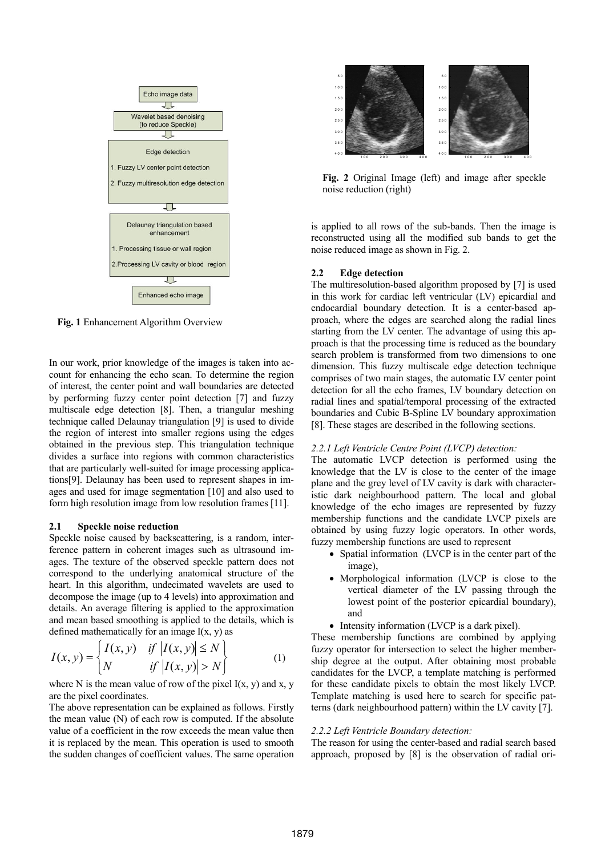

Fig. 1 Enhancement Algorithm Overview

In our work, prior knowledge of the images is taken into account for enhancing the echo scan. To determine the region of interest, the center point and wall boundaries are detected by performing fuzzy center point detection [7] and fuzzy multiscale edge detection [8]. Then, a triangular meshing technique called Delaunay triangulation [9] is used to divide the region of interest into smaller regions using the edges obtained in the previous step. This triangulation technique divides a surface into regions with common characteristics that are particularly well-suited for image processing applications[9]. Delaunay has been used to represent shapes in images and used for image segmentation [10] and also used to form high resolution image from low resolution frames [11].

#### 2.1 Speckle noise reduction

Speckle noise caused by backscattering, is a random, interference pattern in coherent images such as ultrasound images. The texture of the observed speckle pattern does not correspond to the underlying anatomical structure of the heart. In this algorithm, undecimated wavelets are used to decompose the image (up to 4 levels) into approximation and details. An average filtering is applied to the approximation and mean based smoothing is applied to the details, which is defined mathematically for an image  $I(x, y)$  as

$$
I(x, y) = \begin{cases} I(x, y) & \text{if } |I(x, y)| \le N \\ N & \text{if } |I(x, y)| > N \end{cases}
$$
 (1)

where N is the mean value of row of the pixel  $I(x, y)$  and x, y are the pixel coordinates.

The above representation can be explained as follows. Firstly the mean value (N) of each row is computed. If the absolute value of a coefficient in the row exceeds the mean value then it is replaced by the mean. This operation is used to smooth the sudden changes of coefficient values. The same operation



Fig. 2 Original Image (left) and image after speckle noise reduction (right)

is applied to all rows of the sub-bands. Then the image is reconstructed using all the modified sub bands to get the noise reduced image as shown in Fig. 2.

#### 2.2 Edge detection

The multiresolution-based algorithm proposed by [7] is used in this work for cardiac left ventricular (LV) epicardial and endocardial boundary detection. It is a center-based approach, where the edges are searched along the radial lines starting from the LV center. The advantage of using this approach is that the processing time is reduced as the boundary search problem is transformed from two dimensions to one dimension. This fuzzy multiscale edge detection technique comprises of two main stages, the automatic LV center point detection for all the echo frames, LV boundary detection on radial lines and spatial/temporal processing of the extracted boundaries and Cubic B-Spline LV boundary approximation [8]. These stages are described in the following sections.

### 2.2.1 Left Ventricle Centre Point (LVCP) detection:

The automatic LVCP detection is performed using the knowledge that the LV is close to the center of the image plane and the grey level of LV cavity is dark with characteristic dark neighbourhood pattern. The local and global knowledge of the echo images are represented by fuzzy membership functions and the candidate LVCP pixels are obtained by using fuzzy logic operators. In other words, fuzzy membership functions are used to represent

- Spatial information (LVCP is in the center part of the image),
- Morphological information (LVCP is close to the vertical diameter of the LV passing through the lowest point of the posterior epicardial boundary), and
- Intensity information (LVCP is a dark pixel).

These membership functions are combined by applying fuzzy operator for intersection to select the higher membership degree at the output. After obtaining most probable candidates for the LVCP, a template matching is performed for these candidate pixels to obtain the most likely LVCP. Template matching is used here to search for specific patterns (dark neighbourhood pattern) within the LV cavity [7].

#### 2.2.2 Left Ventricle Boundary detection:

The reason for using the center-based and radial search based approach, proposed by [8] is the observation of radial ori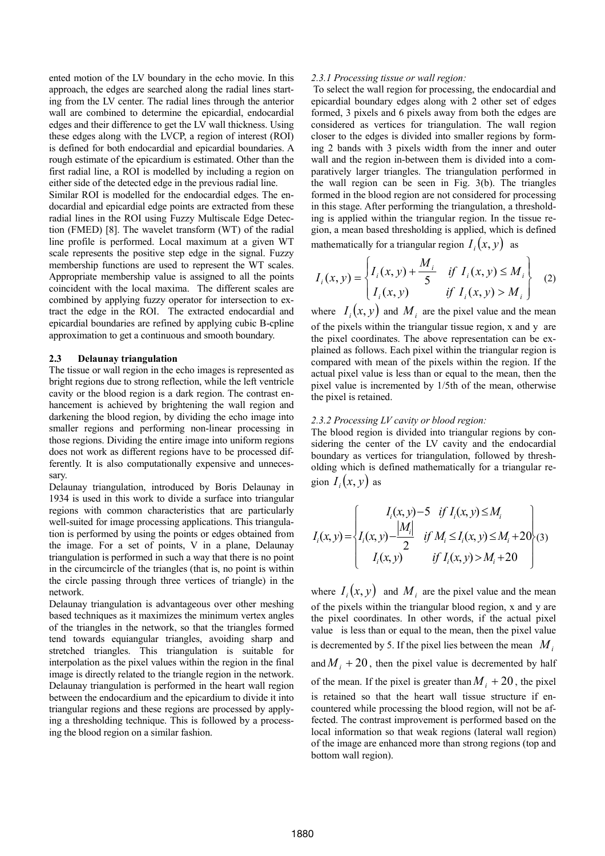ented motion of the LV boundary in the echo movie. In this approach, the edges are searched along the radial lines starting from the LV center. The radial lines through the anterior wall are combined to determine the epicardial, endocardial edges and their difference to get the LV wall thickness. Using these edges along with the LVCP, a region of interest (ROI) is defined for both endocardial and epicardial boundaries. A rough estimate of the epicardium is estimated. Other than the first radial line, a ROI is modelled by including a region on either side of the detected edge in the previous radial line.

Similar ROI is modelled for the endocardial edges. The endocardial and epicardial edge points are extracted from these radial lines in the ROI using Fuzzy Multiscale Edge Detection (FMED) [8]. The wavelet transform (WT) of the radial line profile is performed. Local maximum at a given WT scale represents the positive step edge in the signal. Fuzzy membership functions are used to represent the WT scales. Appropriate membership value is assigned to all the points coincident with the local maxima. The different scales are combined by applying fuzzy operator for intersection to extract the edge in the ROI. The extracted endocardial and epicardial boundaries are refined by applying cubic B-cpline approximation to get a continuous and smooth boundary.

#### 2.3 Delaunay triangulation

The tissue or wall region in the echo images is represented as bright regions due to strong reflection, while the left ventricle cavity or the blood region is a dark region. The contrast enhancement is achieved by brightening the wall region and darkening the blood region, by dividing the echo image into smaller regions and performing non-linear processing in those regions. Dividing the entire image into uniform regions does not work as different regions have to be processed differently. It is also computationally expensive and unnecessary.

Delaunay triangulation, introduced by Boris Delaunay in 1934 is used in this work to divide a surface into triangular regions with common characteristics that are particularly well-suited for image processing applications. This triangulation is performed by using the points or edges obtained from the image. For a set of points, V in a plane, Delaunay triangulation is performed in such a way that there is no point in the circumcircle of the triangles (that is, no point is within the circle passing through three vertices of triangle) in the network.

Delaunay triangulation is advantageous over other meshing based techniques as it maximizes the minimum vertex angles of the triangles in the network, so that the triangles formed tend towards equiangular triangles, avoiding sharp and stretched triangles. This triangulation is suitable for interpolation as the pixel values within the region in the final image is directly related to the triangle region in the network. Delaunay triangulation is performed in the heart wall region between the endocardium and the epicardium to divide it into triangular regions and these regions are processed by applying a thresholding technique. This is followed by a processing the blood region on a similar fashion.

### 2.3.1 Processing tissue or wall region:

 To select the wall region for processing, the endocardial and epicardial boundary edges along with 2 other set of edges formed, 3 pixels and 6 pixels away from both the edges are considered as vertices for triangulation. The wall region closer to the edges is divided into smaller regions by forming 2 bands with 3 pixels width from the inner and outer wall and the region in-between them is divided into a comparatively larger triangles. The triangulation performed in the wall region can be seen in Fig. 3(b). The triangles formed in the blood region are not considered for processing in this stage. After performing the triangulation, a thresholding is applied within the triangular region. In the tissue region, a mean based thresholding is applied, which is defined mathematically for a triangular region  $I_i(x, y)$  as

$$
I_i(x, y) = \begin{cases} I_i(x, y) + \frac{M_i}{5} & \text{if } I_i(x, y) \le M_i \\ I_i(x, y) & \text{if } I_i(x, y) > M_i \end{cases}
$$
 (2)

where  $I_i(x, y)$  and  $M_i$  are the pixel value and the mean of the pixels within the triangular tissue region, x and y are the pixel coordinates. The above representation can be explained as follows. Each pixel within the triangular region is compared with mean of the pixels within the region. If the actual pixel value is less than or equal to the mean, then the pixel value is incremented by 1/5th of the mean, otherwise the pixel is retained.

#### 2.3.2 Processing LV cavity or blood region:

The blood region is divided into triangular regions by considering the center of the LV cavity and the endocardial boundary as vertices for triangulation, followed by thresholding which is defined mathematically for a triangular region  $I_i(x, y)$  as

$$
I_i(x, y) = \begin{cases} I_i(x, y) - 5 & if I_i(x, y) \le M_i \\ I_i(x, y) - \frac{|M_i|}{2} & if M_i \le I_i(x, y) \le M_i + 20 \\ I_i(x, y) & if I_i(x, y) > M_i + 20 \end{cases}
$$
(3)

where  $I_i(x, y)$  and  $M_i$  are the pixel value and the mean of the pixels within the triangular blood region, x and y are the pixel coordinates. In other words, if the actual pixel value is less than or equal to the mean, then the pixel value is decremented by 5. If the pixel lies between the mean  $M_i$ and  $M_i + 20$ , then the pixel value is decremented by half of the mean. If the pixel is greater than  $M_i + 20$ , the pixel is retained so that the heart wall tissue structure if encountered while processing the blood region, will not be affected. The contrast improvement is performed based on the local information so that weak regions (lateral wall region) of the image are enhanced more than strong regions (top and bottom wall region).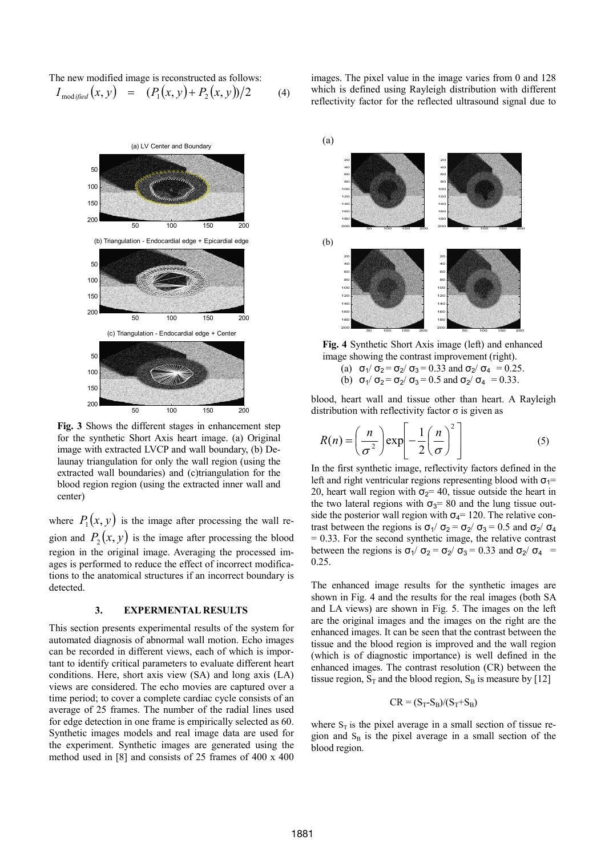The new modified image is reconstructed as follows:  $I_{\text{modified}}(x, y) = (P_1(x, y) + P_2(x, y))/2$  (4)



Fig. 3 Shows the different stages in enhancement step for the synthetic Short Axis heart image. (a) Original image with extracted LVCP and wall boundary, (b) Delaunay triangulation for only the wall region (using the extracted wall boundaries) and (c)triangulation for the blood region region (using the extracted inner wall and center)

where  $P_1(x, y)$  is the image after processing the wall region and  $P_2(x, y)$  is the image after processing the blood region in the original image. Averaging the processed images is performed to reduce the effect of incorrect modifications to the anatomical structures if an incorrect boundary is detected.

# 3. EXPERMENTAL RESULTS

This section presents experimental results of the system for automated diagnosis of abnormal wall motion. Echo images can be recorded in different views, each of which is important to identify critical parameters to evaluate different heart conditions. Here, short axis view (SA) and long axis (LA) views are considered. The echo movies are captured over a time period; to cover a complete cardiac cycle consists of an average of 25 frames. The number of the radial lines used for edge detection in one frame is empirically selected as 60. Synthetic images models and real image data are used for the experiment. Synthetic images are generated using the method used in [8] and consists of 25 frames of 400 x 400 images. The pixel value in the image varies from 0 and 128 which is defined using Rayleigh distribution with different reflectivity factor for the reflected ultrasound signal due to



Fig. 4 Synthetic Short Axis image (left) and enhanced image showing the contrast improvement (right).

- (a)  $\sigma_1/\sigma_2 = \sigma_2/\sigma_3 = 0.33$  and  $\sigma_2/\sigma_4 = 0.25$ .
- (b)  $\sigma_1/\sigma_2 = \sigma_2/\sigma_3 = 0.5$  and  $\sigma_2/\sigma_4 = 0.33$ .

blood, heart wall and tissue other than heart. A Rayleigh distribution with reflectivity factor  $\sigma$  is given as

$$
R(n) = \left(\frac{n}{\sigma^2}\right) \exp\left[-\frac{1}{2}\left(\frac{n}{\sigma}\right)^2\right]
$$
 (5)

In the first synthetic image, reflectivity factors defined in the left and right ventricular regions representing blood with  $\sigma_1=$ 20, heart wall region with  $\sigma_2$ = 40, tissue outside the heart in the two lateral regions with  $\sigma_3$ = 80 and the lung tissue outside the posterior wall region with  $\sigma_4$ = 120. The relative contrast between the regions is  $\sigma_1/\sigma_2 = \sigma_2/\sigma_3 = 0.5$  and  $\sigma_2/\sigma_4$  $= 0.33$ . For the second synthetic image, the relative contrast between the regions is  $\sigma_1/\sigma_2 = \sigma_2/\sigma_3 = 0.33$  and  $\sigma_2/\sigma_4$ 0.25.

The enhanced image results for the synthetic images are shown in Fig. 4 and the results for the real images (both SA and LA views) are shown in Fig. 5. The images on the left are the original images and the images on the right are the enhanced images. It can be seen that the contrast between the tissue and the blood region is improved and the wall region (which is of diagnostic importance) is well defined in the enhanced images. The contrast resolution (CR) between the tissue region,  $S_T$  and the blood region,  $S_B$  is measure by [12]

$$
CR = (S_T-S_B)/(S_T+S_B)
$$

where  $S_T$  is the pixel average in a small section of tissue region and  $S_B$  is the pixel average in a small section of the blood region.